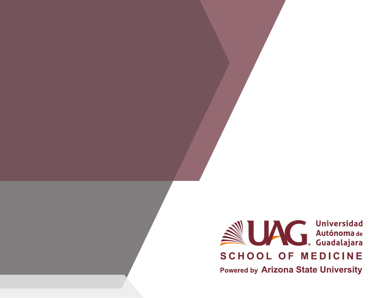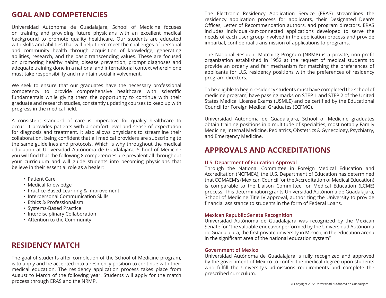### **GOAL AND COMPETENCIES**

Universidad Autónoma de Guadalajara, School of Medicine focuses on training and providing future physicians with an excellent medical background to promote quality healthcare. Our students are educated with skills and abilities that will help them meet the challenges of personal and community health through acquisition of knowledge, generating abilities, research, and the basic transcending values. These are focused on promoting healthy habits, disease prevention, prompt diagnoses and adequate training done in a national and international context wherein one must take responsibility and maintain social involvement.

We seek to ensure that our graduates have the necessary professional competency to provide comprehensive healthcare with scientific fundamentals while giving them the opportunity to continue with their graduate and research studies, constantly updating courses to keep up with progress in the medical field.

A consistent standard of care is imperative for quality healthcare to occur. It provides patients with a comfort level and sense of expectation for diagnosis and treatment. It also allows physicians to streamline their collaboration, being confident that all medical providers are subscribing to the same guidelines and protocols. Which is why throughout the medical education at Universidad Autónoma de Guadalajara, School of Medicine you will find that the following 8 competencies are prevalent all throughout your curriculum and will guide students into becoming physicians that believe in their essential role as a healer:

- Patient Care
- Medical Knowledge
- Practice-Based Learning & Improvement
- Interpersonal Communication Skills
- Ethics & Professionalism
- Systems-Based Practice
- Interdisciplinary Collaboration
- Attention to the Community

# **RESIDENCY MATCH**

The goal of students after completion of the School of Medicine program, is to apply and be accepted into a residency position to continue with their medical education. The residency application process takes place from August to March of the following year. Students will apply for the match process through ERAS and the NRMP.

The Electronic Residency Application Service (ERAS) streamlines the residency application process for applicants, their Designated Dean's Offices, Letter of Recommendation authors, and program directors. ERAS includes individual-but-connected applications developed to serve the needs of each user group involved in the application process and provide impartial, confidential transmission of applications to programs.

The National Resident Matching Program (NRMP) is a private, non-profit organization established in 1952 at the request of medical students to provide an orderly and fair mechanism for matching the preferences of applicants for U.S. residency positions with the preferences of residency program directors.

To be eligible to begin residency students must have completed the school of medicine program, have passing marks on STEP 1 and STEP 2 of the United States Medical License Exams (USMLE) and be certified by the Educational Council for Foreign Medical Graduates (ECFMG).

Universidad Autónoma de Guadalajara, School of Medicine graduates obtain training positions in a multitude of specialties, most notably Family Medicine, Internal Medicine, Pediatrics, Obstetrics & Gynecology, Psychiatry, and Emergency Medicine.

# **APPROVALS AND ACCREDITATIONS**

### **U.S. Department of Education Approval**

Through the National Committee in Foreign Medical Education and Accreditation (NCFMEA), the U.S. Department of Education has determined that COMAEM's (Mexican Council for the Accreditation of Medical Education) is comparable to the Liaison Committee for Medical Education (LCME) process. This determination grants Universidad Autónoma de Guadalajara, School of Medicine Title IV approval, authorizing the University to provide financial assistance to students in the form of Federal Loans.

### **Mexican Republic Senate Recognition**

Universidad Autónoma de Guadalajara was recognized by the Mexican Senate for "the valuable endeavor performed by the Universidad Autónoma de Guadalajara, the first private university in Mexico, in the education arena in the significant area of the national education system"

#### **Government of Mexico**

Universidad Autónoma de Guadalajara is fully recognized and approved by the government of Mexico to confer the medical degree upon students who fulfill the University's admissions requirements and complete the prescribed curriculum.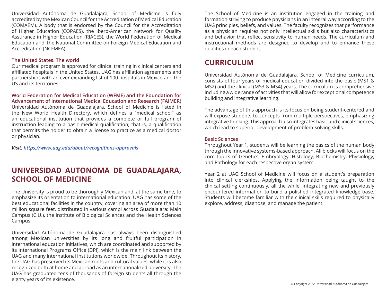Universidad Autónoma de Guadalajara, School of Medicine is fully accredited by the Mexican Council for the Accreditation of Medical Education (COMAEM). A body that is endorsed by the Council for the Accreditation of Higher Education (COPAES), the Ibero-American Network for Quality Assurance in Higher Education (RIACES), the World Federation of Medical Education and The National Committee on Foreign Medical Education and Accreditation (NCFMEA).

### **The United States. The world**

Our medical program is approved for clinical training in clinical centers and affiliated hospitals in the United States. UAG has affiliation agreements and partnerships with an ever expanding list of 100 hospitals in Mexico and the US and its territories.

#### **World Federation for Medical Education (WFME) and the Foundation for Advancement of International Medical Education and Research (FAIMER)**

Universidad Autónoma de Guadalajara, School of Medicine is listed in the New World Health Directory, which defines a "medical school" as an educational institution that provides a complete or full program of instruction leading to a basic medical qualification; that is, a qualification that permits the holder to obtain a license to practice as a medical doctor or physician.

*Visit: https://www.uag.edu/about/recognitions-approvals*

# **UNIVERSIDAD AUTONOMA DE GUADALAJARA, SCHOOL OF MEDICINE**

The University is proud to be thoroughly Mexican and, at the same time, to emphasize its orientation to international education. UAG has some of the best educational facilities in the country, covering an area of more than 10 million square feet, distributed in various campi across Guadalajara: Main Campus (C.U.), the Institute of Biological Sciences and the Health Sciences Campus.

Universidad Autónoma de Guadalajara has always been distinguished among Mexican universities by its long and fruitful participation in international education initiatives, which are coordinated and supported by its International Programs Office (DPI), which is the main link between the UAG and many international institutions worldwide. Throughout its history, the UAG has preserved its Mexican roots and cultural values, while it is also recognized both at home and abroad as an internationalized university. The UAG has graduated tens of thousands of foreign students all through the eighty years of its existence.

The School of Medicine is an institution engaged in the training and formation striving to produce physicians in an integral way according to the UAG principles, beliefs, and values. The faculty recognizes that performance as a physician requires not only intellectual skills but also characteristics and behavior that reflect sensitivity to human needs. The curriculum and instructional methods are designed to develop and to enhance these qualities in each student.

### **CURRICULUM**

Universidad Autónoma de Guadalajara, School of Medicine curriculum, consists of four years of medical education divided into the basic (MS1 & MS2) and the clinical (MS3 & MS4) years. The curriculum is comprehensive including a wide range of activities that will allow for exceptional competence building and integrative learning.

The advantage of this approach is its focus on being student-centered and will expose students to concepts from multiple perspectives, emphasizing integrative thinking. This approach also integrates basic and clinical sciences, which lead to superior development of problem-solving skills.

### **Basic Sciences**

Throughout Year 1, students will be learning the basics of the human body through the innovative systems-based approach. All blocks will focus on the core topics of Genetics, Embryology, Histology, Biochemistry, Physiology, and Pathology for each respective organ system.

Year 2 at UAG School of Medicine will focus on a student's preparation into clinical clerkships. Applying the information being taught to the clinical setting continuously, all the while, integrating new and previously encountered information to build a polished integrated knowledge base. Students will become familiar with the clinical skills required to physically explore, address, diagnose, and manage the patient.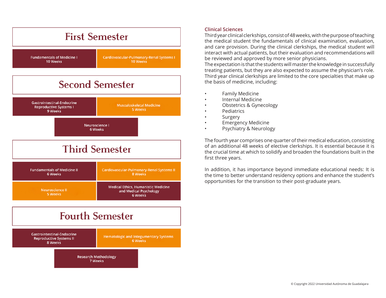

### **Clinical Sciences**

Third year clinical clerkships, consist of 48 weeks, with the purpose of teaching the medical student the fundamentals of clinical examination, evaluation, and care provision. During the clinical clerkships, the medical student will interact with actual patients, but their evaluation and recommendations will be reviewed and approved by more senior physicians.

The expectation is that the students will master the knowledge in successfully treating patients, but they are also expected to assume the physician's role. Third year clinical clerkships are limited to the core specialties that make up the basis of medicine, including:

- Family Medicine
- Internal Medicine
- Obstetrics & Gynecology
- Pediatrics
- **Surgery**
- Emergency Medicine
- Psychiatry & Neurology

The fourth year comprises one quarter of their medical education, consisting of an additional 48 weeks of elective clerkships. It is essential because it is the crucial time at which to solidify and broaden the foundations built in the first three years.

In addition, it has importance beyond immediate educational needs: It is the time to better understand residency options and enhance the student's opportunities for the transition to their post-graduate years.